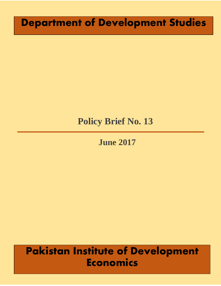# **Department of Development Studies**

# **Policy Brief No. 13**

## **June 2017**

# **Pakistan Institute of Development Economics**